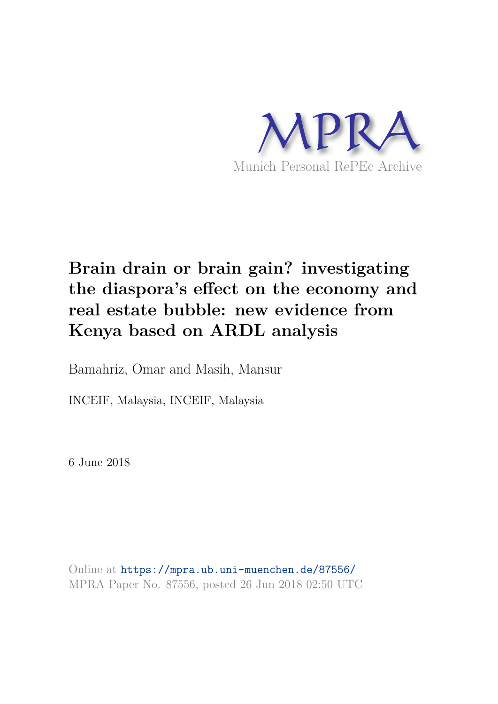

# **Brain drain or brain gain? investigating the diaspora's effect on the economy and real estate bubble: new evidence from Kenya based on ARDL analysis**

Bamahriz, Omar and Masih, Mansur

INCEIF, Malaysia, INCEIF, Malaysia

6 June 2018

Online at https://mpra.ub.uni-muenchen.de/87556/ MPRA Paper No. 87556, posted 26 Jun 2018 02:50 UTC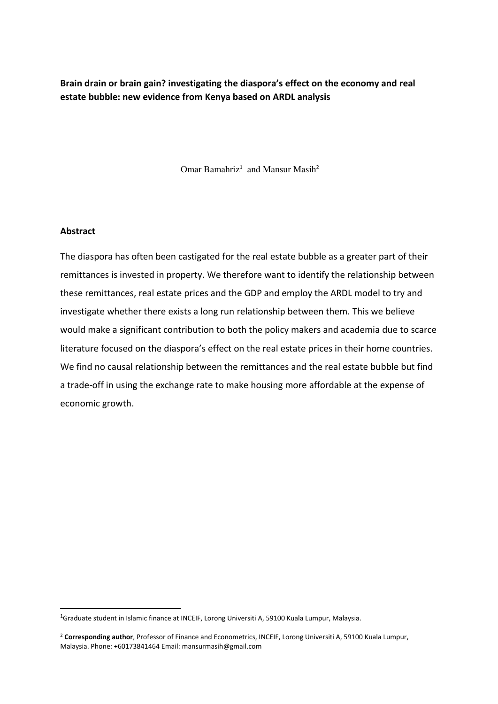**Brain drain or brain gain? investigating the diaspora's effect on the economy and real estate bubble: new evidence from Kenya based on ARDL analysis** 

Omar Bamahriz<sup>1</sup> and Mansur Masih<sup>2</sup>

#### **Abstract**

.<br>-

The diaspora has often been castigated for the real estate bubble as a greater part of their remittances is invested in property. We therefore want to identify the relationship between these remittances, real estate prices and the GDP and employ the ARDL model to try and investigate whether there exists a long run relationship between them. This we believe would make a significant contribution to both the policy makers and academia due to scarce literature focused on the diaspora's effect on the real estate prices in their home countries. We find no causal relationship between the remittances and the real estate bubble but find a trade-off in using the exchange rate to make housing more affordable at the expense of economic growth.

<sup>&</sup>lt;sup>1</sup>Graduate student in Islamic finance at INCEIF, Lorong Universiti A, 59100 Kuala Lumpur, Malaysia.

<sup>2</sup> **Corresponding author**, Professor of Finance and Econometrics, INCEIF, Lorong Universiti A, 59100 Kuala Lumpur, Malaysia. Phone: +60173841464 Email: mansurmasih@gmail.com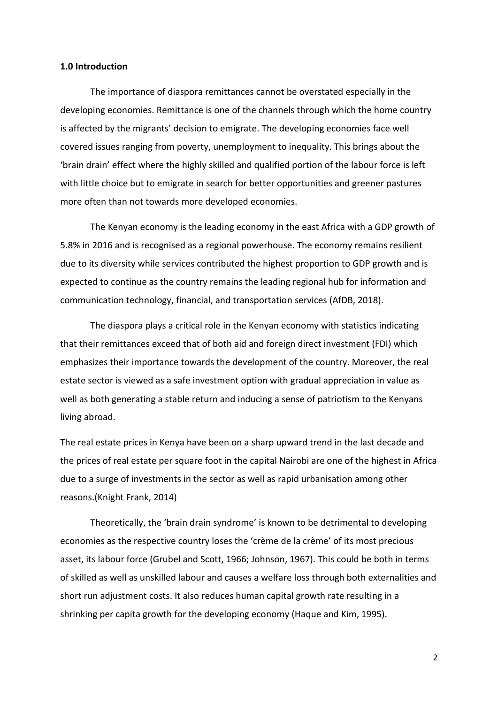#### **1.0 Introduction**

The importance of diaspora remittances cannot be overstated especially in the developing economies. Remittance is one of the channels through which the home country is affected by the migrants' decision to emigrate. The developing economies face well covered issues ranging from poverty, unemployment to inequality. This brings about the 'brain drain' effect where the highly skilled and qualified portion of the labour force is left with little choice but to emigrate in search for better opportunities and greener pastures more often than not towards more developed economies.

The Kenyan economy is the leading economy in the east Africa with a GDP growth of 5.8% in 2016 and is recognised as a regional powerhouse. The economy remains resilient due to its diversity while services contributed the highest proportion to GDP growth and is expected to continue as the country remains the leading regional hub for information and communication technology, financial, and transportation services (AfDB, 2018).

The diaspora plays a critical role in the Kenyan economy with statistics indicating that their remittances exceed that of both aid and foreign direct investment (FDI) which emphasizes their importance towards the development of the country. Moreover, the real estate sector is viewed as a safe investment option with gradual appreciation in value as well as both generating a stable return and inducing a sense of patriotism to the Kenyans living abroad.

The real estate prices in Kenya have been on a sharp upward trend in the last decade and the prices of real estate per square foot in the capital Nairobi are one of the highest in Africa due to a surge of investments in the sector as well as rapid urbanisation among other reasons.(Knight Frank, 2014)

Theoretically, the 'brain drain syndrome' is known to be detrimental to developing economies as the respective country loses the 'crème de la crème' of its most precious asset, its labour force (Grubel and Scott, 1966; Johnson, 1967). This could be both in terms of skilled as well as unskilled labour and causes a welfare loss through both externalities and short run adjustment costs. It also reduces human capital growth rate resulting in a shrinking per capita growth for the developing economy (Haque and Kim, 1995).

2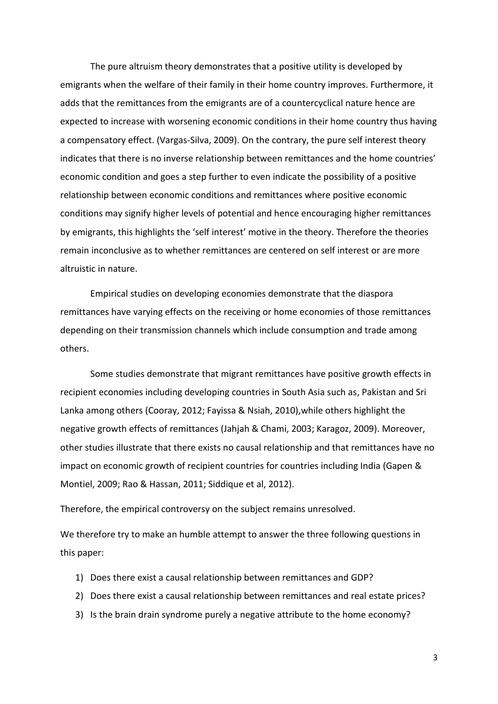The pure altruism theory demonstrates that a positive utility is developed by emigrants when the welfare of their family in their home country improves. Furthermore, it adds that the remittances from the emigrants are of a countercyclical nature hence are expected to increase with worsening economic conditions in their home country thus having a compensatory effect. (Vargas-Silva, 2009). On the contrary, the pure self interest theory indicates that there is no inverse relationship between remittances and the home countries' economic condition and goes a step further to even indicate the possibility of a positive relationship between economic conditions and remittances where positive economic conditions may signify higher levels of potential and hence encouraging higher remittances by emigrants, this highlights the 'self interest' motive in the theory. Therefore the theories remain inconclusive as to whether remittances are centered on self interest or are more altruistic in nature.

Empirical studies on developing economies demonstrate that the diaspora remittances have varying effects on the receiving or home economies of those remittances depending on their transmission channels which include consumption and trade among others.

Some studies demonstrate that migrant remittances have positive growth effects in recipient economies including developing countries in South Asia such as, Pakistan and Sri Lanka among others (Cooray, 2012; Fayissa & Nsiah, 2010),while others highlight the negative growth effects of remittances (Jahjah & Chami, 2003; Karagoz, 2009). Moreover, other studies illustrate that there exists no causal relationship and that remittances have no impact on economic growth of recipient countries for countries including India (Gapen & Montiel, 2009; Rao & Hassan, 2011; Siddique et al, 2012).

Therefore, the empirical controversy on the subject remains unresolved.

We therefore try to make an humble attempt to answer the three following questions in this paper:

- 1) Does there exist a causal relationship between remittances and GDP?
- 2) Does there exist a causal relationship between remittances and real estate prices?
- 3) Is the brain drain syndrome purely a negative attribute to the home economy?

3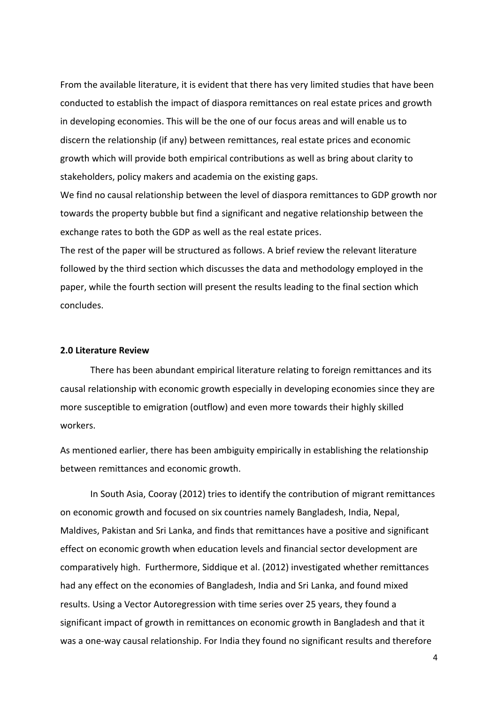From the available literature, it is evident that there has very limited studies that have been conducted to establish the impact of diaspora remittances on real estate prices and growth in developing economies. This will be the one of our focus areas and will enable us to discern the relationship (if any) between remittances, real estate prices and economic growth which will provide both empirical contributions as well as bring about clarity to stakeholders, policy makers and academia on the existing gaps.

We find no causal relationship between the level of diaspora remittances to GDP growth nor towards the property bubble but find a significant and negative relationship between the exchange rates to both the GDP as well as the real estate prices.

The rest of the paper will be structured as follows. A brief review the relevant literature followed by the third section which discusses the data and methodology employed in the paper, while the fourth section will present the results leading to the final section which concludes.

#### **2.0 Literature Review**

There has been abundant empirical literature relating to foreign remittances and its causal relationship with economic growth especially in developing economies since they are more susceptible to emigration (outflow) and even more towards their highly skilled workers.

As mentioned earlier, there has been ambiguity empirically in establishing the relationship between remittances and economic growth.

In South Asia, Cooray (2012) tries to identify the contribution of migrant remittances on economic growth and focused on six countries namely Bangladesh, India, Nepal, Maldives, Pakistan and Sri Lanka, and finds that remittances have a positive and significant effect on economic growth when education levels and financial sector development are comparatively high. Furthermore, Siddique et al. (2012) investigated whether remittances had any effect on the economies of Bangladesh, India and Sri Lanka, and found mixed results. Using a Vector Autoregression with time series over 25 years, they found a significant impact of growth in remittances on economic growth in Bangladesh and that it was a one-way causal relationship. For India they found no significant results and therefore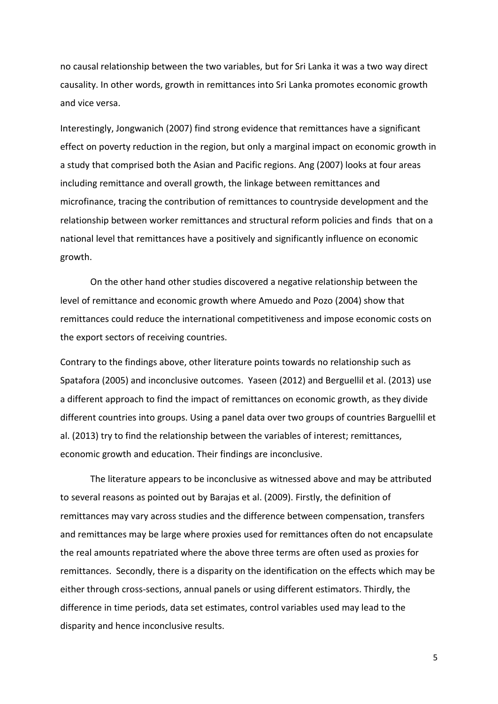no causal relationship between the two variables, but for Sri Lanka it was a two way direct causality. In other words, growth in remittances into Sri Lanka promotes economic growth and vice versa.

Interestingly, Jongwanich (2007) find strong evidence that remittances have a significant effect on poverty reduction in the region, but only a marginal impact on economic growth in a study that comprised both the Asian and Pacific regions. Ang (2007) looks at four areas including remittance and overall growth, the linkage between remittances and microfinance, tracing the contribution of remittances to countryside development and the relationship between worker remittances and structural reform policies and finds that on a national level that remittances have a positively and significantly influence on economic growth.

On the other hand other studies discovered a negative relationship between the level of remittance and economic growth where Amuedo and Pozo (2004) show that remittances could reduce the international competitiveness and impose economic costs on the export sectors of receiving countries.

Contrary to the findings above, other literature points towards no relationship such as Spatafora (2005) and inconclusive outcomes. Yaseen (2012) and Berguellil et al. (2013) use a different approach to find the impact of remittances on economic growth, as they divide different countries into groups. Using a panel data over two groups of countries Barguellil et al. (2013) try to find the relationship between the variables of interest; remittances, economic growth and education. Their findings are inconclusive.

The literature appears to be inconclusive as witnessed above and may be attributed to several reasons as pointed out by Barajas et al. (2009). Firstly, the definition of remittances may vary across studies and the difference between compensation, transfers and remittances may be large where proxies used for remittances often do not encapsulate the real amounts repatriated where the above three terms are often used as proxies for remittances. Secondly, there is a disparity on the identification on the effects which may be either through cross-sections, annual panels or using different estimators. Thirdly, the difference in time periods, data set estimates, control variables used may lead to the disparity and hence inconclusive results.

5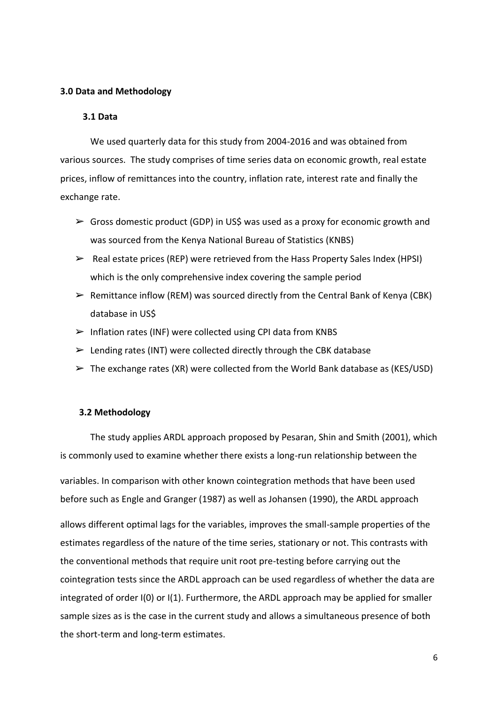#### **3.0 Data and Methodology**

#### **3.1 Data**

We used quarterly data for this study from 2004-2016 and was obtained from various sources. The study comprises of time series data on economic growth, real estate prices, inflow of remittances into the country, inflation rate, interest rate and finally the exchange rate.

- $\triangleright$  Gross domestic product (GDP) in US\$ was used as a proxy for economic growth and was sourced from the Kenya National Bureau of Statistics (KNBS)
- $\triangleright$  Real estate prices (REP) were retrieved from the Hass Property Sales Index (HPSI) which is the only comprehensive index covering the sample period
- $\triangleright$  Remittance inflow (REM) was sourced directly from the Central Bank of Kenya (CBK) database in US\$
- $\triangleright$  Inflation rates (INF) were collected using CPI data from KNBS
- $\triangleright$  Lending rates (INT) were collected directly through the CBK database
- $\triangleright$  The exchange rates (XR) were collected from the World Bank database as (KES/USD)

#### **3.2 Methodology**

The study applies ARDL approach proposed by Pesaran, Shin and Smith (2001), which is commonly used to examine whether there exists a long-run relationship between the

variables. In comparison with other known cointegration methods that have been used before such as Engle and Granger (1987) as well as Johansen (1990), the ARDL approach

allows different optimal lags for the variables, improves the small-sample properties of the estimates regardless of the nature of the time series, stationary or not. This contrasts with the conventional methods that require unit root pre-testing before carrying out the cointegration tests since the ARDL approach can be used regardless of whether the data are integrated of order I(0) or I(1). Furthermore, the ARDL approach may be applied for smaller sample sizes as is the case in the current study and allows a simultaneous presence of both the short-term and long-term estimates.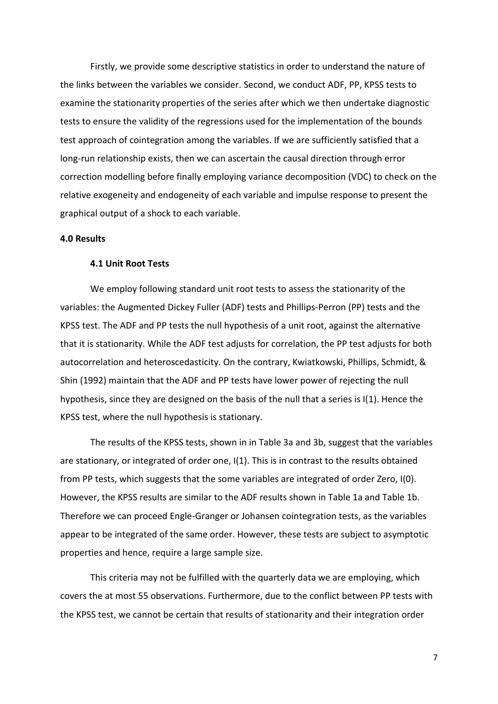Firstly, we provide some descriptive statistics in order to understand the nature of the links between the variables we consider. Second, we conduct ADF, PP, KPSS tests to examine the stationarity properties of the series after which we then undertake diagnostic tests to ensure the validity of the regressions used for the implementation of the bounds test approach of cointegration among the variables. If we are sufficiently satisfied that a long-run relationship exists, then we can ascertain the causal direction through error correction modelling before finally employing variance decomposition (VDC) to check on the relative exogeneity and endogeneity of each variable and impulse response to present the graphical output of a shock to each variable.

#### **4.0 Results**

#### **4.1 Unit Root Tests**

We employ following standard unit root tests to assess the stationarity of the variables: the Augmented Dickey Fuller (ADF) tests and Phillips-Perron (PP) tests and the KPSS test. The ADF and PP tests the null hypothesis of a unit root, against the alternative that it is stationarity. While the ADF test adjusts for correlation, the PP test adjusts for both autocorrelation and heteroscedasticity. On the contrary, Kwiatkowski, Phillips, Schmidt, & Shin (1992) maintain that the ADF and PP tests have lower power of rejecting the null hypothesis, since they are designed on the basis of the null that a series is I(1). Hence the KPSS test, where the null hypothesis is stationary.

The results of the KPSS tests, shown in in Table 3a and 3b, suggest that the variables are stationary, or integrated of order one, I(1). This is in contrast to the results obtained from PP tests, which suggests that the some variables are integrated of order Zero, I(0). However, the KPSS results are similar to the ADF results shown in Table 1a and Table 1b. Therefore we can proceed Engle-Granger or Johansen cointegration tests, as the variables appear to be integrated of the same order. However, these tests are subject to asymptotic properties and hence, require a large sample size.

This criteria may not be fulfilled with the quarterly data we are employing, which covers the at most 55 observations. Furthermore, due to the conflict between PP tests with the KPSS test, we cannot be certain that results of stationarity and their integration order

7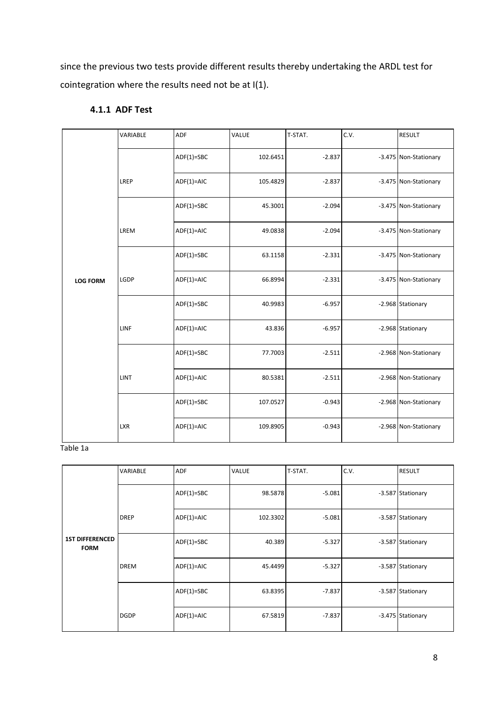since the previous two tests provide different results thereby undertaking the ARDL test for cointegration where the results need not be at I(1).

|                 | VARIABLE   | ADF          | VALUE    | T-STAT.  | C.V. | <b>RESULT</b>         |
|-----------------|------------|--------------|----------|----------|------|-----------------------|
|                 |            | $ADF(1)=SBC$ | 102.6451 | $-2.837$ |      | -3.475 Non-Stationary |
|                 | LREP       | ADF(1)=AIC   | 105.4829 | $-2.837$ |      | -3.475 Non-Stationary |
|                 |            | $ADF(1)=SBC$ | 45.3001  | $-2.094$ |      | -3.475 Non-Stationary |
|                 | LREM       | $ADF(1)=AIC$ | 49.0838  | $-2.094$ |      | -3.475 Non-Stationary |
|                 |            | $ADF(1)=SBC$ | 63.1158  | $-2.331$ |      | -3.475 Non-Stationary |
| <b>LOG FORM</b> | LGDP       | $ADF(1)=AIC$ | 66.8994  | $-2.331$ |      | -3.475 Non-Stationary |
|                 |            | $ADF(1)=SBC$ | 40.9983  | $-6.957$ |      | -2.968 Stationary     |
|                 | LINF       | $ADF(1)=AIC$ | 43.836   | $-6.957$ |      | -2.968 Stationary     |
|                 |            | $ADF(1)=SBC$ | 77.7003  | $-2.511$ |      | -2.968 Non-Stationary |
|                 | LINT       | $ADF(1)=AIC$ | 80.5381  | $-2.511$ |      | -2.968 Non-Stationary |
|                 |            | $ADF(1)=SBC$ | 107.0527 | $-0.943$ |      | -2.968 Non-Stationary |
|                 | <b>LXR</b> | $ADF(1)=AIC$ | 109.8905 | $-0.943$ |      | -2.968 Non-Stationary |

# **4.1.1 ADF Test**

Table 1a

|                                       | <b>VARIABLE</b> | <b>ADF</b>   | <b>VALUE</b> | T-STAT.  | C.V. | <b>RESULT</b>     |
|---------------------------------------|-----------------|--------------|--------------|----------|------|-------------------|
|                                       |                 | $ADF(1)=SBC$ | 98.5878      | $-5.081$ |      | -3.587 Stationary |
|                                       | <b>DREP</b>     | $ADF(1)=AIC$ | 102.3302     | $-5.081$ |      | -3.587 Stationary |
| <b>1ST DIFFERENCED</b><br><b>FORM</b> |                 | $ADF(1)=SBC$ | 40.389       | $-5.327$ |      | -3.587 Stationary |
|                                       | <b>DREM</b>     | $ADF(1)=AIC$ | 45.4499      | $-5.327$ |      | -3.587 Stationary |
|                                       |                 | $ADF(1)=SBC$ | 63.8395      | $-7.837$ |      | -3.587 Stationary |
|                                       | <b>DGDP</b>     | $ADF(1)=AIC$ | 67.5819      | $-7.837$ |      | -3.475 Stationary |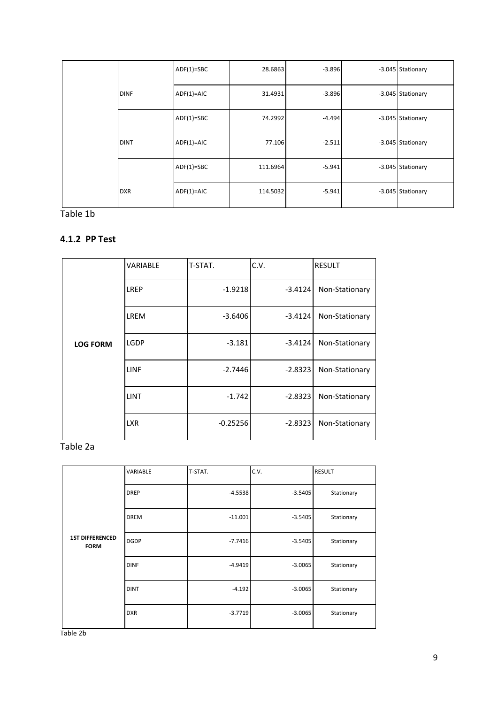|             | $ADF(1)=SBC$ | 28.6863  | $-3.896$ | -3.045 Stationary |
|-------------|--------------|----------|----------|-------------------|
| <b>DINF</b> | $ADF(1)=AIC$ | 31.4931  | $-3.896$ | -3.045 Stationary |
|             | $ADF(1)=SBC$ | 74.2992  | $-4.494$ | -3.045 Stationary |
| <b>DINT</b> | $ADF(1)=AIC$ | 77.106   | $-2.511$ | -3.045 Stationary |
|             | $ADF(1)=SBC$ | 111.6964 | $-5.941$ | -3.045 Stationary |
| <b>DXR</b>  | $ADF(1)=AIC$ | 114.5032 | $-5.941$ | -3.045 Stationary |

Table 1b

# **4.1.2 PP Test**

|                 | <b>VARIABLE</b> | T-STAT.    | C.V.      | <b>RESULT</b>  |
|-----------------|-----------------|------------|-----------|----------------|
|                 | <b>LREP</b>     | $-1.9218$  | $-3.4124$ | Non-Stationary |
|                 | LREM            | $-3.6406$  | $-3.4124$ | Non-Stationary |
| <b>LOG FORM</b> | LGDP            | $-3.181$   | $-3.4124$ | Non-Stationary |
|                 | <b>LINF</b>     | $-2.7446$  | $-2.8323$ | Non-Stationary |
|                 | <b>LINT</b>     | $-1.742$   | $-2.8323$ | Non-Stationary |
|                 | <b>LXR</b>      | $-0.25256$ | $-2.8323$ | Non-Stationary |

Table 2a

|                                       | VARIABLE    | T-STAT.   | C.V.      | <b>RESULT</b> |
|---------------------------------------|-------------|-----------|-----------|---------------|
|                                       | <b>DREP</b> | $-4.5538$ | $-3.5405$ | Stationary    |
|                                       | <b>DREM</b> | $-11.001$ | $-3.5405$ | Stationary    |
| <b>1ST DIFFERENCED</b><br><b>FORM</b> | <b>DGDP</b> | $-7.7416$ | $-3.5405$ | Stationary    |
|                                       | <b>DINF</b> | $-4.9419$ | $-3.0065$ | Stationary    |
|                                       | <b>DINT</b> | $-4.192$  | $-3.0065$ | Stationary    |
|                                       | <b>DXR</b>  | $-3.7719$ | $-3.0065$ | Stationary    |

Table 2b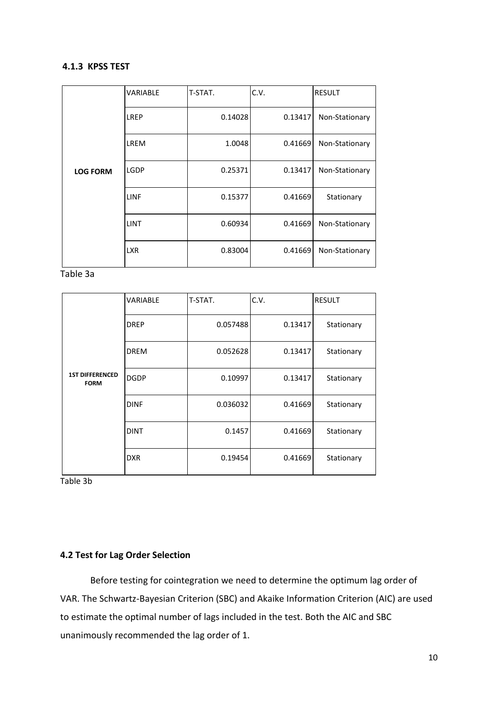# **4.1.3 KPSS TEST**

|                 | <b>VARIABLE</b> | T-STAT. | C.V.    | <b>RESULT</b>  |
|-----------------|-----------------|---------|---------|----------------|
|                 | LREP            | 0.14028 | 0.13417 | Non-Stationary |
|                 | LREM            | 1.0048  | 0.41669 | Non-Stationary |
| <b>LOG FORM</b> | <b>LGDP</b>     | 0.25371 | 0.13417 | Non-Stationary |
|                 | LINF            | 0.15377 | 0.41669 | Stationary     |
|                 | <b>LINT</b>     | 0.60934 | 0.41669 | Non-Stationary |
|                 | <b>LXR</b>      | 0.83004 | 0.41669 | Non-Stationary |

Table 3a

|                                       | <b>VARIABLE</b> | T-STAT.  | C.V.    | <b>RESULT</b> |
|---------------------------------------|-----------------|----------|---------|---------------|
|                                       | <b>DREP</b>     | 0.057488 | 0.13417 | Stationary    |
|                                       | <b>DREM</b>     | 0.052628 | 0.13417 | Stationary    |
| <b>1ST DIFFERENCED</b><br><b>FORM</b> | <b>DGDP</b>     | 0.10997  | 0.13417 | Stationary    |
|                                       | <b>DINF</b>     | 0.036032 | 0.41669 | Stationary    |
|                                       | <b>DINT</b>     | 0.1457   | 0.41669 | Stationary    |
|                                       | <b>DXR</b>      | 0.19454  | 0.41669 | Stationary    |

Table 3b

# **4.2 Test for Lag Order Selection**

Before testing for cointegration we need to determine the optimum lag order of VAR. The Schwartz-Bayesian Criterion (SBC) and Akaike Information Criterion (AIC) are used to estimate the optimal number of lags included in the test. Both the AIC and SBC unanimously recommended the lag order of 1.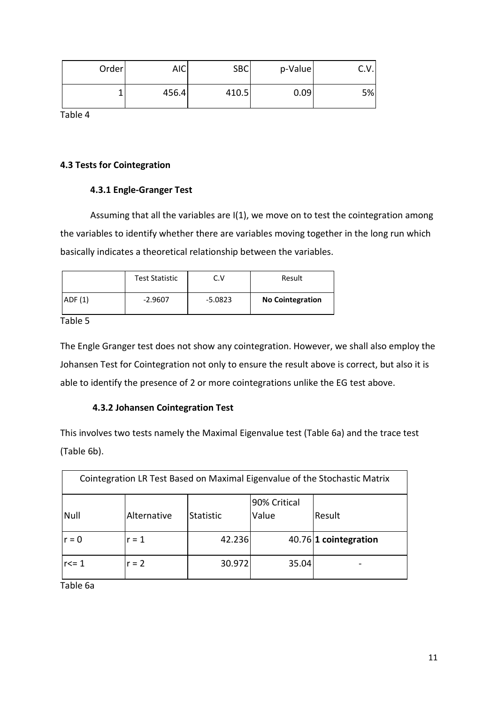| Order | <b>AIC</b> | <b>SBC</b> | p-Value | . v. l |
|-------|------------|------------|---------|--------|
|       | 456.4      | 410.5      | 0.09    | 5%     |

Table 4

## **4.3 Tests for Cointegration**

#### **4.3.1 Engle-Granger Test**

Assuming that all the variables are I(1), we move on to test the cointegration among the variables to identify whether there are variables moving together in the long run which basically indicates a theoretical relationship between the variables.

|        | <b>Test Statistic</b> | V         | Result                  |
|--------|-----------------------|-----------|-------------------------|
| ADF(1) | $-2.9607$             | $-5.0823$ | <b>No Cointegration</b> |

Table 5

The Engle Granger test does not show any cointegration. However, we shall also employ the Johansen Test for Cointegration not only to ensure the result above is correct, but also it is able to identify the presence of 2 or more cointegrations unlike the EG test above.

# **4.3.2 Johansen Cointegration Test**

This involves two tests namely the Maximal Eigenvalue test (Table 6a) and the trace test (Table 6b).

| Cointegration LR Test Based on Maximal Eigenvalue of the Stochastic Matrix |         |        |       |                       |  |  |
|----------------------------------------------------------------------------|---------|--------|-------|-----------------------|--|--|
| 90% Critical<br>Null<br>Value<br>Alternative<br><b>Statistic</b><br>Result |         |        |       |                       |  |  |
| $r = 0$                                                                    | $r = 1$ | 42.236 |       | 40.76 1 cointegration |  |  |
| $r \leq 1$                                                                 | $r = 2$ | 30.972 | 35.04 |                       |  |  |

Table 6a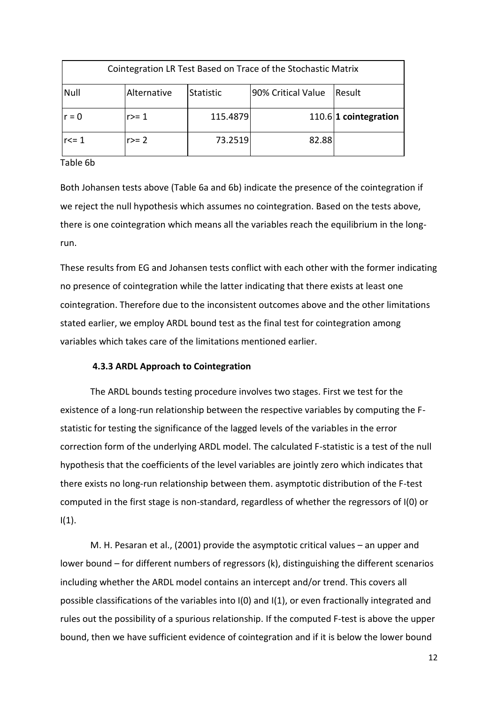| Cointegration LR Test Based on Trace of the Stochastic Matrix |                                                                         |          |       |                         |  |  |  |
|---------------------------------------------------------------|-------------------------------------------------------------------------|----------|-------|-------------------------|--|--|--|
| Null                                                          | 90% Critical Value<br>Alternative<br><b>Statistic</b><br><b>IResult</b> |          |       |                         |  |  |  |
| $r = 0$                                                       | r>= 1                                                                   | 115.4879 |       | $110.6$ 1 cointegration |  |  |  |
| $r<=1$                                                        | $r>=2$                                                                  | 73.2519  | 82.88 |                         |  |  |  |

Table 6b

Both Johansen tests above (Table 6a and 6b) indicate the presence of the cointegration if we reject the null hypothesis which assumes no cointegration. Based on the tests above, there is one cointegration which means all the variables reach the equilibrium in the longrun.

These results from EG and Johansen tests conflict with each other with the former indicating no presence of cointegration while the latter indicating that there exists at least one cointegration. Therefore due to the inconsistent outcomes above and the other limitations stated earlier, we employ ARDL bound test as the final test for cointegration among variables which takes care of the limitations mentioned earlier.

# **4.3.3 ARDL Approach to Cointegration**

The ARDL bounds testing procedure involves two stages. First we test for the existence of a long-run relationship between the respective variables by computing the Fstatistic for testing the significance of the lagged levels of the variables in the error correction form of the underlying ARDL model. The calculated F-statistic is a test of the null hypothesis that the coefficients of the level variables are jointly zero which indicates that there exists no long-run relationship between them. asymptotic distribution of the F-test computed in the first stage is non-standard, regardless of whether the regressors of I(0) or  $I(1)$ .

M. H. Pesaran et al., (2001) provide the asymptotic critical values – an upper and lower bound – for different numbers of regressors (k), distinguishing the different scenarios including whether the ARDL model contains an intercept and/or trend. This covers all possible classifications of the variables into I(0) and I(1), or even fractionally integrated and rules out the possibility of a spurious relationship. If the computed F-test is above the upper bound, then we have sufficient evidence of cointegration and if it is below the lower bound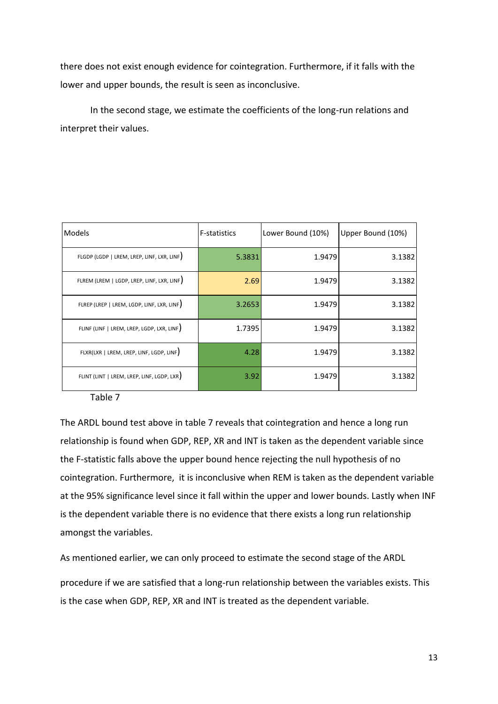there does not exist enough evidence for cointegration. Furthermore, if it falls with the lower and upper bounds, the result is seen as inconclusive.

In the second stage, we estimate the coefficients of the long-run relations and interpret their values.

| Models                                     | <b>F-statistics</b> | Lower Bound (10%) | Upper Bound (10%) |
|--------------------------------------------|---------------------|-------------------|-------------------|
| FLGDP (LGDP   LREM, LREP, LINF, LXR, LINF) | 5.3831              | 1.9479            | 3.1382            |
| FLREM (LREM   LGDP, LREP, LINF, LXR, LINF) | 2.69                | 1.9479            | 3.1382            |
| FLREP (LREP   LREM, LGDP, LINF, LXR, LINF) | 3.2653              | 1.9479            | 3.1382            |
| FLINF (LINF   LREM, LREP, LGDP, LXR, LINF) | 1.7395              | 1.9479            | 3.1382            |
| FLXR(LXR   LREM, LREP, LINF, LGDP, LINF)   | 4.28                | 1.9479            | 3.1382            |
| FLINT (LINT   LREM, LREP, LINF, LGDP, LXR) | 3.92                | 1.9479            | 3.1382            |

Table 7

The ARDL bound test above in table 7 reveals that cointegration and hence a long run relationship is found when GDP, REP, XR and INT is taken as the dependent variable since the F-statistic falls above the upper bound hence rejecting the null hypothesis of no cointegration. Furthermore, it is inconclusive when REM is taken as the dependent variable at the 95% significance level since it fall within the upper and lower bounds. Lastly when INF is the dependent variable there is no evidence that there exists a long run relationship amongst the variables.

As mentioned earlier, we can only proceed to estimate the second stage of the ARDL

procedure if we are satisfied that a long-run relationship between the variables exists. This is the case when GDP, REP, XR and INT is treated as the dependent variable.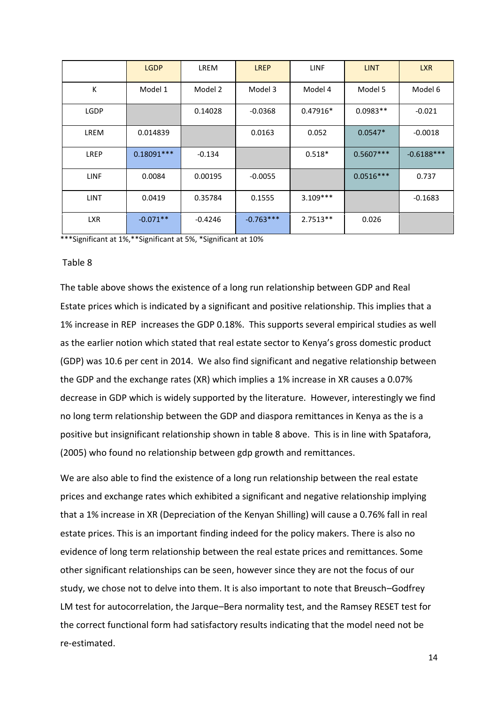|             | <b>LGDP</b>  | <b>LREM</b> | <b>LREP</b> | <b>LINF</b> | <b>LINT</b> | <b>LXR</b>   |
|-------------|--------------|-------------|-------------|-------------|-------------|--------------|
| K           | Model 1      | Model 2     | Model 3     | Model 4     | Model 5     | Model 6      |
| <b>LGDP</b> |              | 0.14028     | $-0.0368$   | $0.47916*$  | $0.0983**$  | $-0.021$     |
| LREM        | 0.014839     |             | 0.0163      | 0.052       | $0.0547*$   | $-0.0018$    |
| <b>LREP</b> | $0.18091***$ | $-0.134$    |             | $0.518*$    | $0.5607***$ | $-0.6188***$ |
| <b>LINF</b> | 0.0084       | 0.00195     | $-0.0055$   |             | $0.0516***$ | 0.737        |
| <b>LINT</b> | 0.0419       | 0.35784     | 0.1555      | $3.109***$  |             | $-0.1683$    |
| <b>LXR</b>  | $-0.071**$   | $-0.4246$   | $-0.763***$ | $2.7513**$  | 0.026       |              |

\*\*\*Significant at 1%,\*\*Significant at 5%, \*Significant at 10%

#### Table 8

The table above shows the existence of a long run relationship between GDP and Real Estate prices which is indicated by a significant and positive relationship. This implies that a 1% increase in REP increases the GDP 0.18%. This supports several empirical studies as well as the earlier notion which stated that real estate sector to Kenya's gross domestic product (GDP) was 10.6 per cent in 2014. We also find significant and negative relationship between the GDP and the exchange rates (XR) which implies a 1% increase in XR causes a 0.07% decrease in GDP which is widely supported by the literature. However, interestingly we find no long term relationship between the GDP and diaspora remittances in Kenya as the is a positive but insignificant relationship shown in table 8 above. This is in line with Spatafora, (2005) who found no relationship between gdp growth and remittances.

We are also able to find the existence of a long run relationship between the real estate prices and exchange rates which exhibited a significant and negative relationship implying that a 1% increase in XR (Depreciation of the Kenyan Shilling) will cause a 0.76% fall in real estate prices. This is an important finding indeed for the policy makers. There is also no evidence of long term relationship between the real estate prices and remittances. Some other significant relationships can be seen, however since they are not the focus of our study, we chose not to delve into them. It is also important to note that Breusch–Godfrey LM test for autocorrelation, the Jarque–Bera normality test, and the Ramsey RESET test for the correct functional form had satisfactory results indicating that the model need not be re-estimated.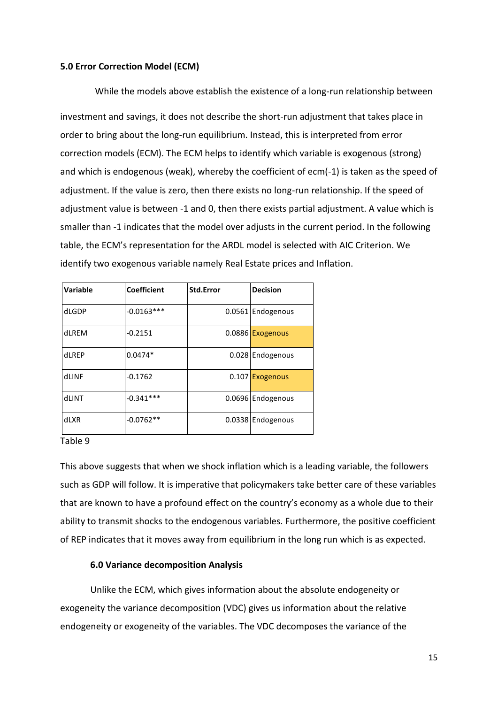#### **5.0 Error Correction Model (ECM)**

 While the models above establish the existence of a long-run relationship between investment and savings, it does not describe the short-run adjustment that takes place in order to bring about the long-run equilibrium. Instead, this is interpreted from error correction models (ECM). The ECM helps to identify which variable is exogenous (strong) and which is endogenous (weak), whereby the coefficient of ecm(-1) is taken as the speed of adjustment. If the value is zero, then there exists no long-run relationship. If the speed of adjustment value is between -1 and 0, then there exists partial adjustment. A value which is smaller than -1 indicates that the model over adjusts in the current period. In the following table, the ECM's representation for the ARDL model is selected with AIC Criterion. We identify two exogenous variable namely Real Estate prices and Inflation.

| Variable | <b>Coefficient</b> | Std.Error | <b>Decision</b>   |
|----------|--------------------|-----------|-------------------|
| dLGDP    | $-0.0163***$       |           | 0.0561 Endogenous |
| dLREM    | $-0.2151$          |           | 0.0886 Exogenous  |
| dLREP    | $0.0474*$          |           | 0.028 Endogenous  |
| dLINF    | $-0.1762$          | 0.107     | <b>Exogenous</b>  |
| dLINT    | $-0.341***$        |           | 0.0696 Endogenous |
| dLXR     | $-0.0762**$        | 0.0338    | Endogenous        |

#### Table 9

This above suggests that when we shock inflation which is a leading variable, the followers such as GDP will follow. It is imperative that policymakers take better care of these variables that are known to have a profound effect on the country's economy as a whole due to their ability to transmit shocks to the endogenous variables. Furthermore, the positive coefficient of REP indicates that it moves away from equilibrium in the long run which is as expected.

#### **6.0 Variance decomposition Analysis**

Unlike the ECM, which gives information about the absolute endogeneity or exogeneity the variance decomposition (VDC) gives us information about the relative endogeneity or exogeneity of the variables. The VDC decomposes the variance of the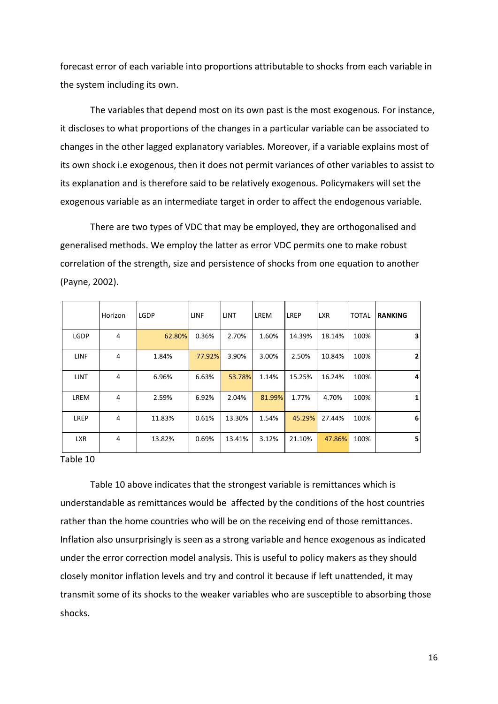forecast error of each variable into proportions attributable to shocks from each variable in the system including its own.

The variables that depend most on its own past is the most exogenous. For instance, it discloses to what proportions of the changes in a particular variable can be associated to changes in the other lagged explanatory variables. Moreover, if a variable explains most of its own shock i.e exogenous, then it does not permit variances of other variables to assist to its explanation and is therefore said to be relatively exogenous. Policymakers will set the exogenous variable as an intermediate target in order to affect the endogenous variable.

There are two types of VDC that may be employed, they are orthogonalised and generalised methods. We employ the latter as error VDC permits one to make robust correlation of the strength, size and persistence of shocks from one equation to another (Payne, 2002).

|             | Horizon | <b>LGDP</b> | <b>LINF</b> | <b>LINT</b> | LREM   | <b>LREP</b> | <b>LXR</b> | <b>TOTAL</b> | <b>RANKING</b> |
|-------------|---------|-------------|-------------|-------------|--------|-------------|------------|--------------|----------------|
| LGDP        | 4       | 62.80%      | 0.36%       | 2.70%       | 1.60%  | 14.39%      | 18.14%     | 100%         | 3              |
| <b>LINF</b> | 4       | 1.84%       | 77.92%      | 3.90%       | 3.00%  | 2.50%       | 10.84%     | 100%         | $\mathbf{2}$   |
| <b>LINT</b> | 4       | 6.96%       | 6.63%       | 53.78%      | 1.14%  | 15.25%      | 16.24%     | 100%         | 4              |
| LREM        | 4       | 2.59%       | 6.92%       | 2.04%       | 81.99% | 1.77%       | 4.70%      | 100%         | 1              |
| LREP        | 4       | 11.83%      | 0.61%       | 13.30%      | 1.54%  | 45.29%      | 27.44%     | 100%         | 6              |
| <b>LXR</b>  | 4       | 13.82%      | 0.69%       | 13.41%      | 3.12%  | 21.10%      | 47.86%     | 100%         | 5              |

#### Table 10

Table 10 above indicates that the strongest variable is remittances which is understandable as remittances would be affected by the conditions of the host countries rather than the home countries who will be on the receiving end of those remittances. Inflation also unsurprisingly is seen as a strong variable and hence exogenous as indicated under the error correction model analysis. This is useful to policy makers as they should closely monitor inflation levels and try and control it because if left unattended, it may transmit some of its shocks to the weaker variables who are susceptible to absorbing those shocks.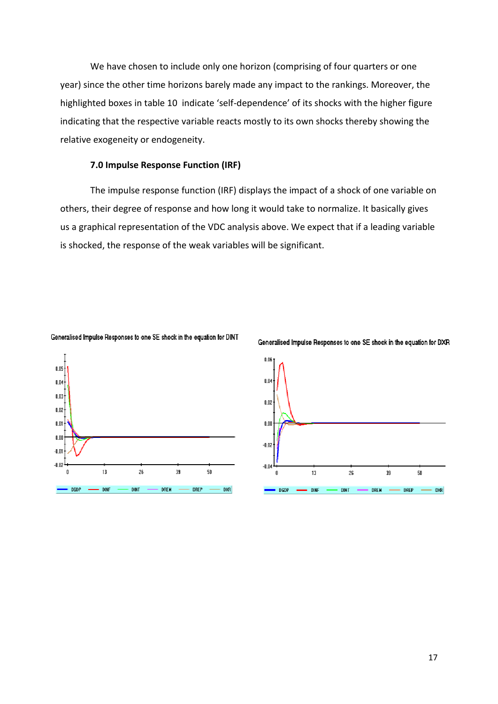We have chosen to include only one horizon (comprising of four quarters or one year) since the other time horizons barely made any impact to the rankings. Moreover, the highlighted boxes in table 10 indicate 'self-dependence' of its shocks with the higher figure indicating that the respective variable reacts mostly to its own shocks thereby showing the relative exogeneity or endogeneity.

#### **7.0 Impulse Response Function (IRF)**

The impulse response function (IRF) displays the impact of a shock of one variable on others, their degree of response and how long it would take to normalize. It basically gives us a graphical representation of the VDC analysis above. We expect that if a leading variable is shocked, the response of the weak variables will be significant.







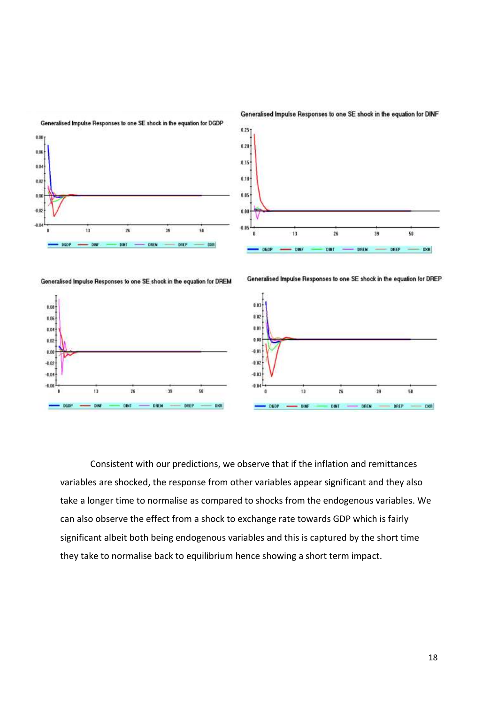

Generalised Impulse Responses to one SE shock in the equation for DINF

Consistent with our predictions, we observe that if the inflation and remittances variables are shocked, the response from other variables appear significant and they also take a longer time to normalise as compared to shocks from the endogenous variables. We can also observe the effect from a shock to exchange rate towards GDP which is fairly significant albeit both being endogenous variables and this is captured by the short time they take to normalise back to equilibrium hence showing a short term impact.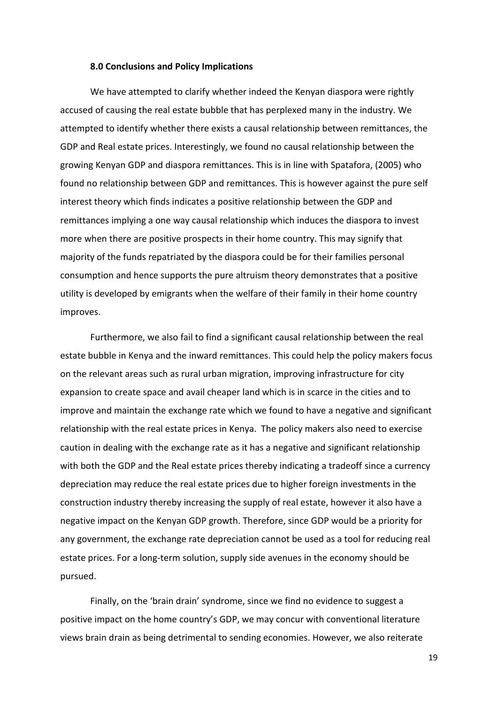#### **8.0 Conclusions and Policy Implications**

We have attempted to clarify whether indeed the Kenyan diaspora were rightly accused of causing the real estate bubble that has perplexed many in the industry. We attempted to identify whether there exists a causal relationship between remittances, the GDP and Real estate prices. Interestingly, we found no causal relationship between the growing Kenyan GDP and diaspora remittances. This is in line with Spatafora, (2005) who found no relationship between GDP and remittances. This is however against the pure self interest theory which finds indicates a positive relationship between the GDP and remittances implying a one way causal relationship which induces the diaspora to invest more when there are positive prospects in their home country. This may signify that majority of the funds repatriated by the diaspora could be for their families personal consumption and hence supports the pure altruism theory demonstrates that a positive utility is developed by emigrants when the welfare of their family in their home country improves.

Furthermore, we also fail to find a significant causal relationship between the real estate bubble in Kenya and the inward remittances. This could help the policy makers focus on the relevant areas such as rural urban migration, improving infrastructure for city expansion to create space and avail cheaper land which is in scarce in the cities and to improve and maintain the exchange rate which we found to have a negative and significant relationship with the real estate prices in Kenya. The policy makers also need to exercise caution in dealing with the exchange rate as it has a negative and significant relationship with both the GDP and the Real estate prices thereby indicating a tradeoff since a currency depreciation may reduce the real estate prices due to higher foreign investments in the construction industry thereby increasing the supply of real estate, however it also have a negative impact on the Kenyan GDP growth. Therefore, since GDP would be a priority for any government, the exchange rate depreciation cannot be used as a tool for reducing real estate prices. For a long-term solution, supply side avenues in the economy should be pursued.

Finally, on the 'brain drain' syndrome, since we find no evidence to suggest a positive impact on the home country's GDP, we may concur with conventional literature views brain drain as being detrimental to sending economies. However, we also reiterate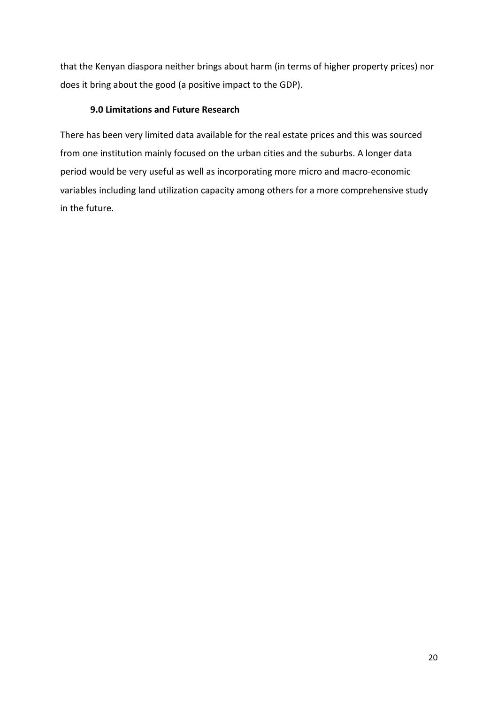that the Kenyan diaspora neither brings about harm (in terms of higher property prices) nor does it bring about the good (a positive impact to the GDP).

# **9.0 Limitations and Future Research**

There has been very limited data available for the real estate prices and this was sourced from one institution mainly focused on the urban cities and the suburbs. A longer data period would be very useful as well as incorporating more micro and macro-economic variables including land utilization capacity among others for a more comprehensive study in the future.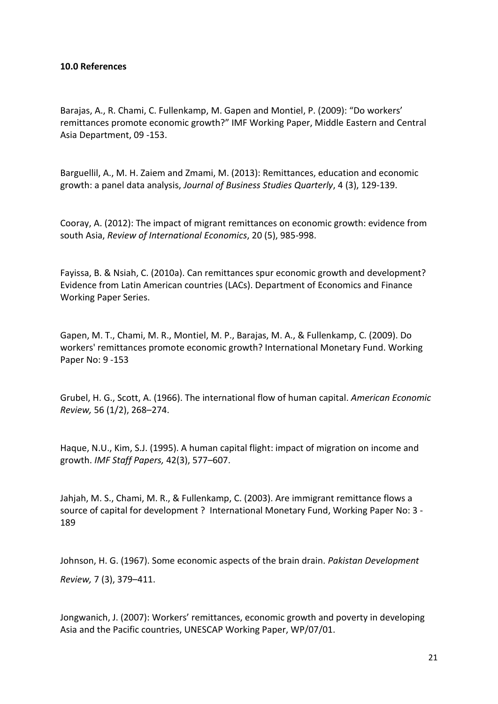# **10.0 References**

Barajas, A., R. Chami, C. Fullenkamp, M. Gapen and Montiel, P. (2009): "Do workers' remittances promote economic growth?" IMF Working Paper, Middle Eastern and Central Asia Department, 09 -153.

Barguellil, A., M. H. Zaiem and Zmami, M. (2013): Remittances, education and economic growth: a panel data analysis, *Journal of Business Studies Quarterly*, 4 (3), 129-139.

Cooray, A. (2012): The impact of migrant remittances on economic growth: evidence from south Asia, *Review of International Economics*, 20 (5), 985-998.

Fayissa, B. & Nsiah, C. (2010a). Can remittances spur economic growth and development? Evidence from Latin American countries (LACs). Department of Economics and Finance Working Paper Series.

Gapen, M. T., Chami, M. R., Montiel, M. P., Barajas, M. A., & Fullenkamp, C. (2009). Do workers' remittances promote economic growth? International Monetary Fund. Working Paper No: 9 -153

Grubel, H. G., Scott, A. (1966). The international flow of human capital. *American Economic Review,* 56 (1/2), 268–274.

Haque, N.U., Kim, S.J. (1995). A human capital flight: impact of migration on income and growth. *IMF Staff Papers,* 42(3), 577–607.

Jahjah, M. S., Chami, M. R., & Fullenkamp, C. (2003). Are immigrant remittance flows a source of capital for development ? International Monetary Fund, Working Paper No: 3 - 189

Johnson, H. G. (1967). Some economic aspects of the brain drain. *Pakistan Development Review,* 7 (3), 379–411.

Jongwanich, J. (2007): Workers' remittances, economic growth and poverty in developing Asia and the Pacific countries, UNESCAP Working Paper, WP/07/01.